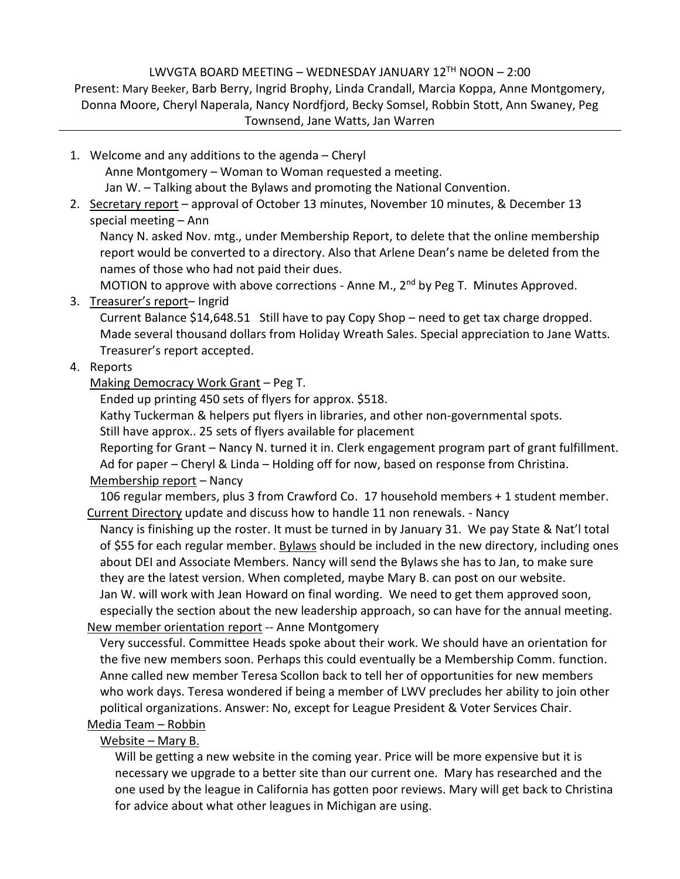## LWVGTA BOARD MEETING – WEDNESDAY JANUARY 12 TH NOON – 2:00

Present: Mary Beeker, Barb Berry, Ingrid Brophy, Linda Crandall, Marcia Koppa, Anne Montgomery, Donna Moore, Cheryl Naperala, Nancy Nordfjord, Becky Somsel, Robbin Stott, Ann Swaney, Peg Townsend, Jane Watts, Jan Warren

- 1. Welcome and any additions to the agenda Cheryl Anne Montgomery – Woman to Woman requested a meeting. Jan W. – Talking about the Bylaws and promoting the National Convention.
- 2. Secretary report approval of October 13 minutes, November 10 minutes, & December 13 special meeting – Ann

Nancy N. asked Nov. mtg., under Membership Report, to delete that the online membership report would be converted to a directory. Also that Arlene Dean's name be deleted from the names of those who had not paid their dues.

MOTION to approve with above corrections - Anne M.,  $2<sup>nd</sup>$  by Peg T. Minutes Approved.

3. Treasurer's report– Ingrid

Current Balance \$14,648.51 Still have to pay Copy Shop – need to get tax charge dropped. Made several thousand dollars from Holiday Wreath Sales. Special appreciation to Jane Watts. Treasurer's report accepted.

# 4. Reports

Making Democracy Work Grant – Peg T.

Ended up printing 450 sets of flyers for approx. \$518.

Kathy Tuckerman & helpers put flyers in libraries, and other non-governmental spots.

Still have approx.. 25 sets of flyers available for placement

Reporting for Grant – Nancy N. turned it in. Clerk engagement program part of grant fulfillment.

Ad for paper – Cheryl & Linda – Holding off for now, based on response from Christina. Membership report – Nancy

106 regular members, plus 3 from Crawford Co. 17 household members + 1 student member. Current Directory update and discuss how to handle 11 non renewals. - Nancy

Nancy is finishing up the roster. It must be turned in by January 31. We pay State & Nat'l total of \$55 for each regular member. Bylaws should be included in the new directory, including ones about DEI and Associate Members. Nancy will send the Bylaws she has to Jan, to make sure they are the latest version. When completed, maybe Mary B. can post on our website. Jan W. will work with Jean Howard on final wording. We need to get them approved soon, especially the section about the new leadership approach, so can have for the annual meeting.

New member orientation report -- Anne Montgomery

Very successful. Committee Heads spoke about their work. We should have an orientation for the five new members soon. Perhaps this could eventually be a Membership Comm. function. Anne called new member Teresa Scollon back to tell her of opportunities for new members who work days. Teresa wondered if being a member of LWV precludes her ability to join other political organizations. Answer: No, except for League President & Voter Services Chair. Media Team – Robbin

# Website – Mary B.

Will be getting a new website in the coming year. Price will be more expensive but it is necessary we upgrade to a better site than our current one. Mary has researched and the one used by the league in California has gotten poor reviews. Mary will get back to Christina for advice about what other leagues in Michigan are using.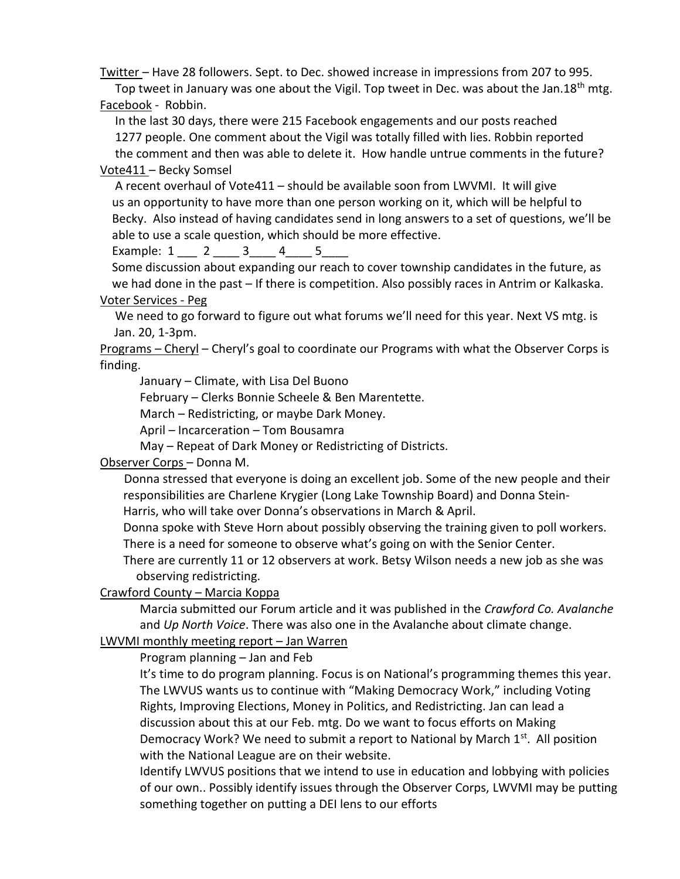Twitter – Have 28 followers. Sept. to Dec. showed increase in impressions from 207 to 995. Top tweet in January was one about the Vigil. Top tweet in Dec. was about the Jan.18<sup>th</sup> mtg.

Facebook - Robbin.

 In the last 30 days, there were 215 Facebook engagements and our posts reached 1277 people. One comment about the Vigil was totally filled with lies. Robbin reported the comment and then was able to delete it. How handle untrue comments in the future?

#### Vote411 – Becky Somsel

 A recent overhaul of Vote411 – should be available soon from LWVMI. It will give us an opportunity to have more than one person working on it, which will be helpful to Becky. Also instead of having candidates send in long answers to a set of questions, we'll be able to use a scale question, which should be more effective.

Example: 1 \_\_\_ 2 \_\_\_\_ 3\_\_\_\_ 4\_\_\_\_ 5\_\_\_\_

 Some discussion about expanding our reach to cover township candidates in the future, as we had done in the past – If there is competition. Also possibly races in Antrim or Kalkaska.

Voter Services - Peg

 We need to go forward to figure out what forums we'll need for this year. Next VS mtg. is Jan. 20, 1-3pm.

Programs - Cheryl - Cheryl's goal to coordinate our Programs with what the Observer Corps is finding.

January – Climate, with Lisa Del Buono

February – Clerks Bonnie Scheele & Ben Marentette.

March – Redistricting, or maybe Dark Money.

April – Incarceration – Tom Bousamra

May – Repeat of Dark Money or Redistricting of Districts.

### Observer Corps – Donna M.

 Donna stressed that everyone is doing an excellent job. Some of the new people and their responsibilities are Charlene Krygier (Long Lake Township Board) and Donna Stein- Harris, who will take over Donna's observations in March & April.

 Donna spoke with Steve Horn about possibly observing the training given to poll workers. There is a need for someone to observe what's going on with the Senior Center.

 There are currently 11 or 12 observers at work. Betsy Wilson needs a new job as she was observing redistricting.

### Crawford County – Marcia Koppa

Marcia submitted our Forum article and it was published in the *Crawford Co. Avalanche* and *Up North Voice*. There was also one in the Avalanche about climate change.

### LWVMI monthly meeting report – Jan Warren

Program planning – Jan and Feb

It's time to do program planning. Focus is on National's programming themes this year. The LWVUS wants us to continue with "Making Democracy Work," including Voting Rights, Improving Elections, Money in Politics, and Redistricting. Jan can lead a discussion about this at our Feb. mtg. Do we want to focus efforts on Making Democracy Work? We need to submit a report to National by March 1<sup>st</sup>. All position with the National League are on their website.

Identify LWVUS positions that we intend to use in education and lobbying with policies of our own.. Possibly identify issues through the Observer Corps, LWVMI may be putting something together on putting a DEI lens to our efforts